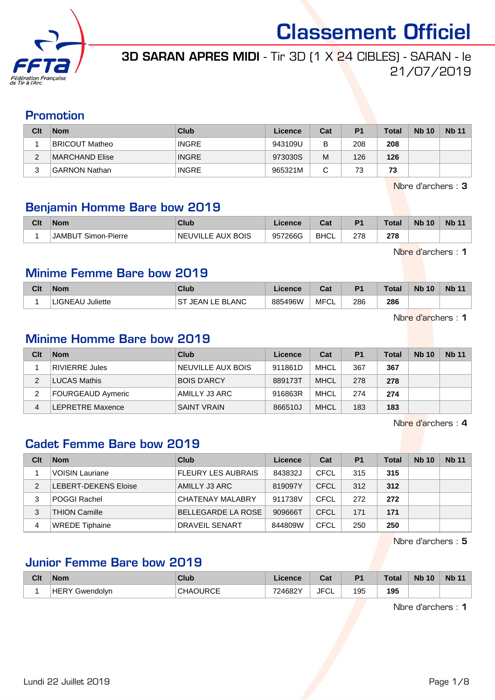

## 3D SARAN APRES MIDI - Tir 3D (1 X 24 CIBLES) - SARAN - le 21/07/2019

## Promotion

| Clt    | <b>Nom</b>     | Club         | Licence | Cat | P <sub>1</sub> | <b>Total</b> | <b>Nb 10</b> | <b>Nb</b> 11 |
|--------|----------------|--------------|---------|-----|----------------|--------------|--------------|--------------|
|        | BRICOUT Matheo | <b>INGRE</b> | 943109U | в   | 208            | 208          |              |              |
| ⌒      | MARCHAND Elise | <b>INGRE</b> | 973030S | M   | 126            | 126          |              |              |
| າ<br>J | GARNON Nathan  | <b>INGRE</b> | 965321M | С   | 73             | 73           |              |              |

Nbre d'archers : 3

## Benjamin Homme Bare bow 2019

| Clt | <b>Nom</b>                          | Club              | .icence | ่ ี่ ี่ ่า ่<br>ua | P <sub>1</sub> | <b>Total</b> | <b>Nb 10</b> | <b>Nb 11</b> |
|-----|-------------------------------------|-------------------|---------|--------------------|----------------|--------------|--------------|--------------|
|     | `Simon-Pierre<br>JAMBU <sup>-</sup> | NEUVILLE AUX BOIS | 957266G | <b>BHCL</b>        | 278            | 278          |              |              |

Nbre d'archers : 1

#### Minime Femme Bare bow 2019

| Clt | <b>Nom</b>                 | Club                       | Licence | <b>DAL</b><br>ual | D <sub>1</sub> | Total | <b>N<sub>b</sub></b><br>10 <sup>°</sup> | <b>Nb 11</b> |
|-----|----------------------------|----------------------------|---------|-------------------|----------------|-------|-----------------------------------------|--------------|
|     | Juliette<br><b>LIGNEAU</b> | <b>ST</b><br>JEAN LE BLANC | 885496W | . MFC'            | 286            | 286   |                                         |              |

Nbre d'archers : 1

#### Minime Homme Bare bow 2019

| Clt | <b>Nom</b>        | Club               | Licence | Cat         | P <sub>1</sub> | <b>Total</b> | <b>Nb 10</b> | <b>Nb 11</b> |
|-----|-------------------|--------------------|---------|-------------|----------------|--------------|--------------|--------------|
|     | RIVIERRE Jules    | NEUVILLE AUX BOIS  | 911861D | <b>MHCL</b> | 367            | 367          |              |              |
| 2   | LUCAS Mathis      | <b>BOIS D'ARCY</b> | 889173T | <b>MHCL</b> | 278            | 278          |              |              |
| 2   | FOURGEAUD Aymeric | AMILLY J3 ARC      | 916863R | <b>MHCL</b> | 274            | 274          |              |              |
| 4   | LEPRETRE Maxence  | <b>SAINT VRAIN</b> | 866510J | <b>MHCL</b> | 183            | 183          |              |              |

Nbre d'archers : 4

## Cadet Femme Bare bow 2019

| Clt | <b>Nom</b>                  | Club                      | Licence | Cat         | P <sub>1</sub> | <b>Total</b> | <b>Nb 10</b> | <b>Nb 11</b> |
|-----|-----------------------------|---------------------------|---------|-------------|----------------|--------------|--------------|--------------|
|     | <b>VOISIN Lauriane</b>      | <b>FLEURY LES AUBRAIS</b> | 843832J | CFCL        | 315            | 315          |              |              |
| 2   | <b>LEBERT-DEKENS Eloise</b> | AMILLY J3 ARC             | 819097Y | CFCL        | 312            | 312          |              |              |
| 3   | <b>POGGI Rachel</b>         | CHATENAY MALABRY          | 911738V | CFCL        | 272            | 272          |              |              |
| 3   | THION Camille               | BELLEGARDE LA ROSE        | 909666T | <b>CFCL</b> | 171            | 171          |              |              |
| 4   | <b>WREDE Tiphaine</b>       | DRAVEIL SENART            | 844809W | CFCL        | 250            | 250          |              |              |

Nbre d'archers : 5

#### Junior Femme Bare bow 2019

| Clt | <b>Nom</b> | <b>Club</b>                | Licence | <b>The State</b><br>ual | D <sub>4</sub> | Total | <b>N<sub>b</sub></b><br>10 | <b>Nb 11</b> |
|-----|------------|----------------------------|---------|-------------------------|----------------|-------|----------------------------|--------------|
|     | Gwendolvn  | <b>IRCE</b><br>∩HΔ.<br>.UL | 724682Y | JFC'<br>ັບ∟             | 195            | 195   |                            |              |

Nbre d'archers : 1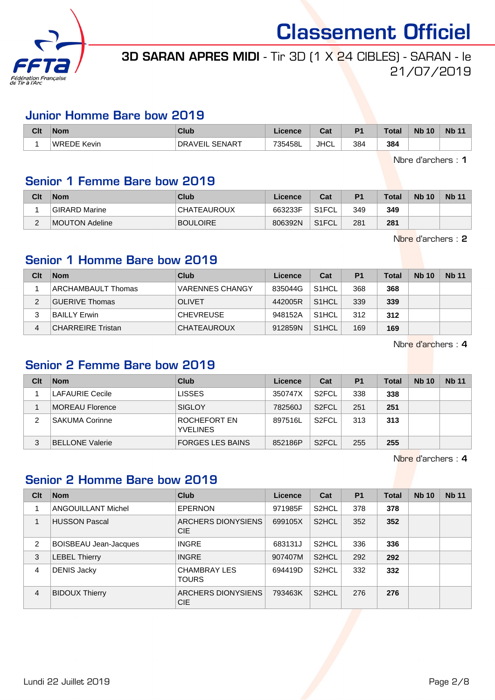

## 3D SARAN APRES MIDI - Tir 3D (1 X 24 CIBLES) - SARAN - le 21/07/2019

#### Junior Homme Bare bow 2019

| Clt | <b>Nom</b>         | <b>Club</b>                     | Licence | ີີີ່<br>⊍d  | D <sub>1</sub> | <b>Total</b> | <b>Nb 10</b> | <b>N<sub>b</sub></b> |
|-----|--------------------|---------------------------------|---------|-------------|----------------|--------------|--------------|----------------------|
|     | <b>WREDE Kevin</b> | <b>SENART</b><br><b>DRAVEIL</b> | 735458L | <b>JHCL</b> | 384            | 384          |              |                      |

Nbre d'archers : 1

## Senior 1 Femme Bare bow 2019

| Clt | <b>Nom</b>     | Club            | Licence | Cat                | P <sub>1</sub> | <b>Total</b> | <b>Nb 10</b> | <b>Nb 11</b> |
|-----|----------------|-----------------|---------|--------------------|----------------|--------------|--------------|--------------|
|     | GIRARD Marine  | CHATEAUROUX     | 663233F | S1FCL              | 349            | 349          |              |              |
| ▃   | MOUTON Adeline | <b>BOULOIRE</b> | 806392N | S <sub>1</sub> FCL | 281            | 281          |              |              |

Nbre d'archers : 2

#### Senior 1 Homme Bare bow 2019

| Clt | <b>Nom</b>               | Club                   | Licence | Cat                | P <sub>1</sub> | Total | <b>Nb 10</b> | <b>Nb 11</b> |
|-----|--------------------------|------------------------|---------|--------------------|----------------|-------|--------------|--------------|
|     | ARCHAMBAULT Thomas       | <b>VARENNES CHANGY</b> | 835044G | S <sub>1</sub> HCL | 368            | 368   |              |              |
| 2   | <b>GUERIVE Thomas</b>    | <b>OLIVET</b>          | 442005R | S <sub>1</sub> HCL | 339            | 339   |              |              |
| 3   | <b>BAILLY Erwin</b>      | <b>CHEVREUSE</b>       | 948152A | S <sub>1</sub> HCL | 312            | 312   |              |              |
| 4   | <b>CHARREIRE Tristan</b> | <b>CHATEAUROUX</b>     | 912859N | S <sub>1</sub> HCL | 169            | 169   |              |              |

Nbre d'archers : 4

## Senior 2 Femme Bare bow 2019

| Clt | <b>Nom</b>             | Club                            | <b>Licence</b> | Cat                | P <sub>1</sub> | Total | <b>Nb 10</b> | <b>Nb 11</b> |
|-----|------------------------|---------------------------------|----------------|--------------------|----------------|-------|--------------|--------------|
|     | <b>LAFAURIE Cecile</b> | <b>LISSES</b>                   | 350747X        | S <sub>2</sub> FCL | 338            | 338   |              |              |
|     | MOREAU Florence        | SIGLOY                          | 782560J        | S <sub>2</sub> FCL | 251            | 251   |              |              |
| 2   | <b>SAKUMA Corinne</b>  | ROCHEFORT EN<br><b>YVELINES</b> | 897516L        | S <sub>2</sub> FCL | 313            | 313   |              |              |
| 3   | <b>BELLONE Valerie</b> | <b>FORGES LES BAINS</b>         | 852186P        | S <sub>2</sub> FCL | 255            | 255   |              |              |

Nbre d'archers : 4

#### Senior 2 Homme Bare bow 2019

| Clt            | <b>Nom</b>                   | <b>Club</b>                         | Licence | Cat                | P <sub>1</sub> | <b>Total</b> | <b>Nb 10</b> | <b>Nb 11</b> |
|----------------|------------------------------|-------------------------------------|---------|--------------------|----------------|--------------|--------------|--------------|
|                | <b>ANGOUILLANT Michel</b>    | <b>EPERNON</b>                      | 971985F | S <sub>2</sub> HCL | 378            | 378          |              |              |
|                | <b>HUSSON Pascal</b>         | ARCHERS DIONYSIENS<br><b>CIE</b>    | 699105X | S <sub>2</sub> HCL | 352            | 352          |              |              |
| 2              | <b>BOISBEAU Jean-Jacques</b> | <b>INGRE</b>                        | 683131J | S <sub>2</sub> HCL | 336            | 336          |              |              |
| 3              | <b>LEBEL Thierry</b>         | <b>INGRE</b>                        | 907407M | S <sub>2</sub> HCL | 292            | 292          |              |              |
| 4              | <b>DENIS Jacky</b>           | <b>CHAMBRAY LES</b><br><b>TOURS</b> | 694419D | S <sub>2</sub> HCL | 332            | 332          |              |              |
| $\overline{4}$ | <b>BIDOUX Thierry</b>        | ARCHERS DIONYSIENS<br><b>CIE</b>    | 793463K | S <sub>2</sub> HCL | 276            | 276          |              |              |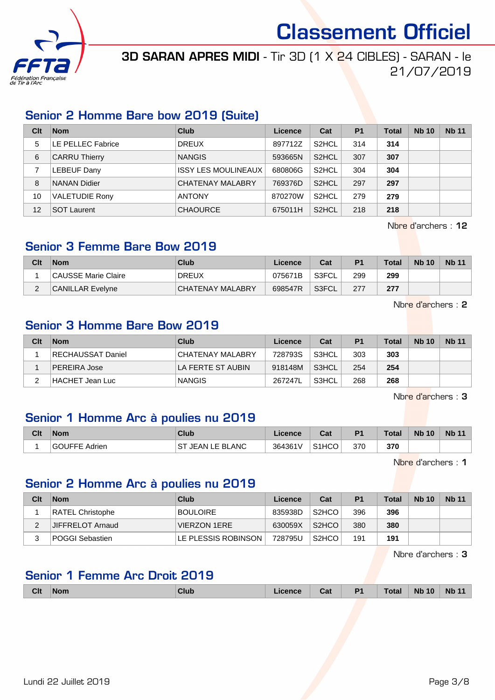

3D SARAN APRES MIDI - Tir 3D (1 X 24 CIBLES) - SARAN - le 21/07/2019

#### Senior 2 Homme Bare bow 2019 (Suite)

| Clt | <b>Nom</b>            | Club                       | Licence | Cat                | P <sub>1</sub> | <b>Total</b> | <b>Nb 10</b> | <b>Nb 11</b> |
|-----|-----------------------|----------------------------|---------|--------------------|----------------|--------------|--------------|--------------|
| 5   | LE PELLEC Fabrice     | <b>DREUX</b>               | 897712Z | S <sub>2</sub> HCL | 314            | 314          |              |              |
| 6   | <b>CARRU Thierry</b>  | <b>NANGIS</b>              | 593665N | S <sub>2</sub> HCL | 307            | 307          |              |              |
|     | <b>LEBEUF Dany</b>    | <b>ISSY LES MOULINEAUX</b> | 680806G | S <sub>2</sub> HCL | 304            | 304          |              |              |
| 8   | <b>NANAN Didier</b>   | <b>CHATENAY MALABRY</b>    | 769376D | S <sub>2</sub> HCL | 297            | 297          |              |              |
| 10  | <b>VALETUDIE Rony</b> | <b>ANTONY</b>              | 870270W | S <sub>2</sub> HCL | 279            | 279          |              |              |
| 12  | <b>SOT Laurent</b>    | <b>CHAOURCE</b>            | 675011H | S <sub>2</sub> HCL | 218            | 218          |              |              |

Nbre d'archers : 12

#### Senior 3 Femme Bare Bow 2019

| Clt    | <b>Nom</b>          | Club             | Licence | Cat   | P <sub>1</sub> | <b>Total</b> | <b>Nb 10</b> | <b>Nb 11</b> |
|--------|---------------------|------------------|---------|-------|----------------|--------------|--------------|--------------|
|        | CAUSSE Marie Claire | <b>DREUX</b>     | 075671B | S3FCL | 299            | 299          |              |              |
| $\sim$ | CANILLAR Evelyne    | CHATENAY MALABRY | 698547R | S3FCL | 277            | 277          |              |              |

Nbre d'archers : 2

### Senior 3 Homme Bare Bow 2019

| Clt | <b>Nom</b>        | Club              | Licence | Cat   | P <sub>1</sub> | Total | <b>Nb 10</b> | <b>Nb 11</b> |
|-----|-------------------|-------------------|---------|-------|----------------|-------|--------------|--------------|
|     | RECHAUSSAT Daniel | CHATENAY MALABRY  | 728793S | S3HCL | 303            | 303   |              |              |
|     | PEREIRA Jose      | LA FERTE ST AUBIN | 918148M | S3HCL | 254            | 254   |              |              |
| ົ   | HACHET Jean Luc   | <b>NANGIS</b>     | 267247L | S3HCL | 268            | 268   |              |              |

Nbre d'archers : 3

## Senior 1 Homme Arc à poulies nu 2019

| Clt | <b>Nom</b>              | Club                | Licence | ີລະ<br>⊍d          | P <sub>1</sub> | <b>Total</b> | <b>Nb 10</b> | Nb <sub>1</sub> |
|-----|-------------------------|---------------------|---------|--------------------|----------------|--------------|--------------|-----------------|
|     | Adrien<br><b>GOUFFE</b> | JEAN LE BLANC<br>S. | 364361V | S <sub>1</sub> HCO | 370            | 370          |              |                 |

Nbre d'archers : 1

#### Senior 2 Homme Arc à poulies nu 2019

| Clt | <b>Nom</b>             | Club                | Licence | Cat                | P <sub>1</sub> | <b>Total</b> | <b>Nb 10</b> | <b>Nb 11</b> |
|-----|------------------------|---------------------|---------|--------------------|----------------|--------------|--------------|--------------|
|     | RATEL Christophe       | <b>BOULOIRE</b>     | 835938D | S <sub>2</sub> HCO | 396            | 396          |              |              |
|     | JIFFRELOT Arnaud       | VIERZON 1ERE        | 630059X | S <sub>2</sub> HCO | 380            | 380          |              |              |
|     | <b>POGGI Sebastien</b> | LE PLESSIS ROBINSON | 728795U | S <sub>2</sub> HCO | 191            | 191          |              |              |

Nbre d'archers : 3

#### Senior 1 Femme Arc Droit 2019

|  | <b>Clt</b> | <b>Nom</b> | <b>Club</b> | icence | Cat | P <sub>1</sub> | <b>Total</b> | <b>N<sub>b</sub></b><br>10 | <b>Nb</b><br>$\overline{\phantom{a}}$<br>-44 |
|--|------------|------------|-------------|--------|-----|----------------|--------------|----------------------------|----------------------------------------------|
|--|------------|------------|-------------|--------|-----|----------------|--------------|----------------------------|----------------------------------------------|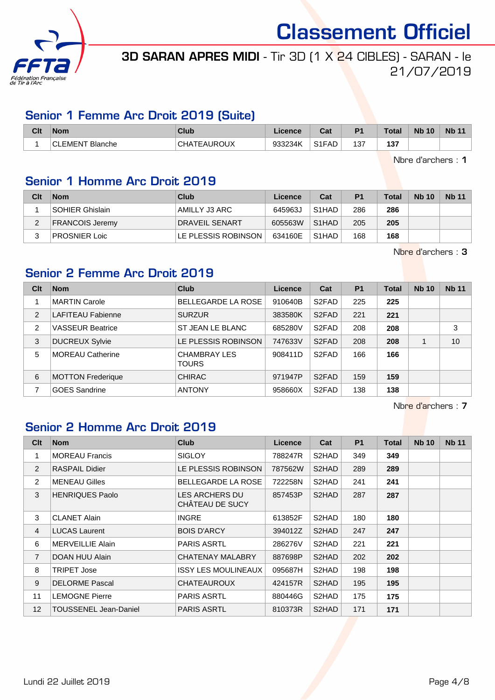

## 3D SARAN APRES MIDI - Tir 3D (1 X 24 CIBLES) - SARAN - le 21/07/2019

#### Senior 1 Femme Arc Droit 2019 (Suite)

| Clt | <b>Nom</b>                | <b>Club</b>        | Licence | ่∩ำง<br>ua.                    | P <sub>1</sub> | <b>Total</b> | <b>Nb 10</b> | <b>Nb 11</b> |
|-----|---------------------------|--------------------|---------|--------------------------------|----------------|--------------|--------------|--------------|
|     | Blanche<br><b>CLEMENT</b> | <b>CHATEAUROUX</b> | 933234K | S <sub>1</sub> F <sub>AD</sub> | 137            | 4 2 7<br>131 |              |              |

Nbre d'archers : 1

## Senior 1 Homme Arc Droit 2019

| Clt | <b>Nom</b>             | Club                  | Licence | Cat                | P <sub>1</sub> | <b>Total</b> | <b>Nb 10</b> | <b>Nb 11</b> |
|-----|------------------------|-----------------------|---------|--------------------|----------------|--------------|--------------|--------------|
|     | <b>SOHIER Ghislain</b> | AMILLY J3 ARC         | 645963J | S <sub>1</sub> HAD | 286            | 286          |              |              |
|     | <b>FRANCOIS Jeremy</b> | <b>DRAVEIL SENART</b> | 605563W | S <sub>1</sub> HAD | 205            | 205          |              |              |
| っ   | <b>PROSNIER Loic</b>   | LE PLESSIS ROBINSON   | 634160E | S <sub>1</sub> HAD | 168            | 168          |              |              |

Nbre d'archers : 3

## Senior 2 Femme Arc Droit 2019

| Clt            | <b>Nom</b>               | <b>Club</b>                  | <b>Licence</b> | Cat                | <b>P1</b> | <b>Total</b> | <b>Nb 10</b> | <b>Nb 11</b> |
|----------------|--------------------------|------------------------------|----------------|--------------------|-----------|--------------|--------------|--------------|
|                | <b>MARTIN Carole</b>     | <b>BELLEGARDE LA ROSE</b>    | 910640B        | S <sub>2</sub> FAD | 225       | 225          |              |              |
| $\overline{2}$ | <b>LAFITEAU Fabienne</b> | <b>SURZUR</b>                | 383580K        | S <sub>2</sub> FAD | 221       | 221          |              |              |
| $\overline{c}$ | <b>VASSEUR Beatrice</b>  | ST JEAN LE BLANC             | 685280V        | S <sub>2</sub> FAD | 208       | 208          |              | 3            |
| 3              | <b>DUCREUX Sylvie</b>    | LE PLESSIS ROBINSON          | 747633V        | S <sub>2</sub> FAD | 208       | 208          |              | 10           |
| 5              | <b>MOREAU Catherine</b>  | <b>CHAMBRAY LES</b><br>TOURS | 908411D        | S <sub>2</sub> FAD | 166       | 166          |              |              |
| 6              | <b>MOTTON Frederique</b> | <b>CHIRAC</b>                | 971947P        | S <sub>2</sub> FAD | 159       | 159          |              |              |
|                | <b>GOES Sandrine</b>     | <b>ANTONY</b>                | 958660X        | S <sub>2</sub> FAD | 138       | 138          |              |              |

Nbre d'archers : 7

## Senior 2 Homme Arc Droit 2019

| Clt             | <b>Nom</b>              | <b>Club</b>                              | Licence | Cat                | <b>P1</b> | <b>Total</b> | <b>Nb 10</b> | <b>Nb 11</b> |
|-----------------|-------------------------|------------------------------------------|---------|--------------------|-----------|--------------|--------------|--------------|
| 1               | <b>MOREAU Francis</b>   | <b>SIGLOY</b>                            | 788247R | S <sub>2</sub> HAD | 349       | 349          |              |              |
| 2               | RASPAIL Didier          | LE PLESSIS ROBINSON                      | 787562W | S2HAD              | 289       | 289          |              |              |
| 2               | <b>MENEAU Gilles</b>    | <b>BELLEGARDE LA ROSE</b>                | 722258N | S2HAD              | 241       | 241          |              |              |
| 3               | <b>HENRIQUES Paolo</b>  | <b>LES ARCHERS DU</b><br>CHÂTEAU DE SUCY | 857453P | S2HAD              | 287       | 287          |              |              |
| 3               | <b>CLANET Alain</b>     | <b>INGRE</b>                             | 613852F | S2HAD              | 180       | 180          |              |              |
| $\overline{4}$  | <b>LUCAS Laurent</b>    | <b>BOIS D'ARCY</b>                       | 394012Z | S2HAD              | 247       | 247          |              |              |
| 6               | <b>MERVEILLIE Alain</b> | <b>PARIS ASRTL</b>                       | 286276V | S2HAD              | 221       | 221          |              |              |
| $\overline{7}$  | DOAN HUU Alain          | CHATENAY MALABRY                         | 887698P | S2HAD              | 202       | 202          |              |              |
| 8               | <b>TRIPET Jose</b>      | ISSY LES MOULINEAUX                      | 095687H | S <sub>2</sub> HAD | 198       | 198          |              |              |
| 9               | <b>DELORME Pascal</b>   | CHATEAUROUX                              | 424157R | S <sub>2</sub> HAD | 195       | 195          |              |              |
| 11              | <b>LEMOGNE Pierre</b>   | <b>PARIS ASRTL</b>                       | 880446G | S2HAD              | 175       | 175          |              |              |
| 12 <sup>2</sup> | TOUSSENEL Jean-Daniel   | <b>PARIS ASRTL</b>                       | 810373R | S <sub>2</sub> HAD | 171       | 171          |              |              |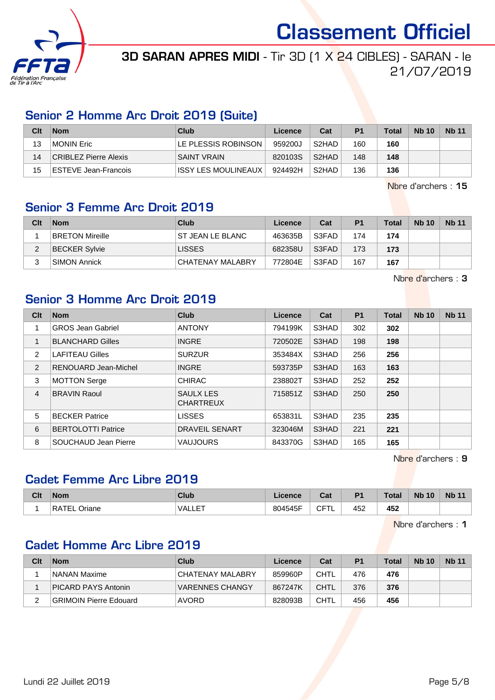

## 3D SARAN APRES MIDI - Tir 3D (1 X 24 CIBLES) - SARAN - le 21/07/2019

#### Senior 2 Homme Arc Droit 2019 (Suite)

| Clt | <b>Nom</b>            | Club                 | Licence | Cat                | P <sub>1</sub> | <b>Total</b> | <b>Nb 10</b> | <b>Nb 11</b> |
|-----|-----------------------|----------------------|---------|--------------------|----------------|--------------|--------------|--------------|
| 13  | MONIN Eric            | ILE PLESSIS ROBINSON | 959200J | S <sub>2</sub> HAD | 160            | 160          |              |              |
| 14  | CRIBLEZ Pierre Alexis | SAINT VRAIN          | 820103S | S <sub>2</sub> HAD | 148            | 148          |              |              |
| 15  | ESTEVE Jean-Francois  | IISSY LES MOULINEAUX | 924492H | S <sub>2</sub> HAD | 136            | 136          |              |              |

Nbre d'archers : 15

#### Senior 3 Femme Arc Droit 2019

| Clt | <b>Nom</b>             | Club             | Licence | Cat   | P <sub>1</sub> | <b>Total</b> | <b>Nb 10</b> | <b>Nb 11</b> |
|-----|------------------------|------------------|---------|-------|----------------|--------------|--------------|--------------|
|     | <b>BRETON Mireille</b> | ST JEAN LE BLANC | 463635B | S3FAD | 174            | 174          |              |              |
| ົ   | <b>BECKER Sylvie</b>   | <b>LISSES</b>    | 682358U | S3FAD | 173            | 173          |              |              |
|     | SIMON Annick           | CHATENAY MALABRY | 772804E | S3FAD | 167            | 167          |              |              |

Nbre d'archers : 3

#### Senior 3 Homme Arc Droit 2019

| Clt | <b>Nom</b>                | <b>Club</b>                   | Licence | Cat   | <b>P1</b> | Total | <b>Nb 10</b> | <b>Nb 11</b> |
|-----|---------------------------|-------------------------------|---------|-------|-----------|-------|--------------|--------------|
|     | <b>GROS Jean Gabriel</b>  | <b>ANTONY</b>                 | 794199K | S3HAD | 302       | 302   |              |              |
|     | <b>BLANCHARD Gilles</b>   | <b>INGRE</b>                  | 720502E | S3HAD | 198       | 198   |              |              |
| 2   | <b>LAFITEAU Gilles</b>    | <b>SURZUR</b>                 | 353484X | S3HAD | 256       | 256   |              |              |
| 2   | RENOUARD Jean-Michel      | <b>INGRE</b>                  | 593735P | S3HAD | 163       | 163   |              |              |
| 3   | <b>MOTTON Serge</b>       | <b>CHIRAC</b>                 | 238802T | S3HAD | 252       | 252   |              |              |
| 4   | <b>BRAVIN Raoul</b>       | SAULX LES<br><b>CHARTREUX</b> | 715851Z | S3HAD | 250       | 250   |              |              |
| 5   | <b>BECKER Patrice</b>     | <b>LISSES</b>                 | 653831L | S3HAD | 235       | 235   |              |              |
| 6   | <b>BERTOLOTTI Patrice</b> | <b>DRAVEIL SENART</b>         | 323046M | S3HAD | 221       | 221   |              |              |
| 8   | SOUCHAUD Jean Pierre      | <b>VAUJOURS</b>               | 843370G | S3HAD | 165       | 165   |              |              |

Nbre d'archers : 9

### Cadet Femme Arc Libre 2019

| Clt | <b>Nom</b>    | <b>Club</b>    | .icence | Cat           | D <sub>4</sub> | Total | <b>Nb</b><br>10 | <b>Nb 11</b> |
|-----|---------------|----------------|---------|---------------|----------------|-------|-----------------|--------------|
|     | RЛ.<br>Jriane | ET<br>"VALLE . | 804545F | ---<br>◡<br>- | 452            | 452   |                 |              |

Nbre d'archers : 1

#### Cadet Homme Arc Libre 2019

| Clt | <b>Nom</b>                 | Club                   | Licence | Cat         | P <sub>1</sub> | <b>Total</b> | <b>Nb 10</b> | <b>Nb 11</b> |
|-----|----------------------------|------------------------|---------|-------------|----------------|--------------|--------------|--------------|
|     | NANAN Maxime               | CHATENAY MALABRY       | 859960P | <b>CHTL</b> | 476            | 476          |              |              |
|     | <b>PICARD PAYS Antonin</b> | <b>VARENNES CHANGY</b> | 867247K | CHTL        | 376            | 376          |              |              |
|     | GRIMOIN Pierre Edouard     | AVORD                  | 828093B | <b>CHTL</b> | 456            | 456          |              |              |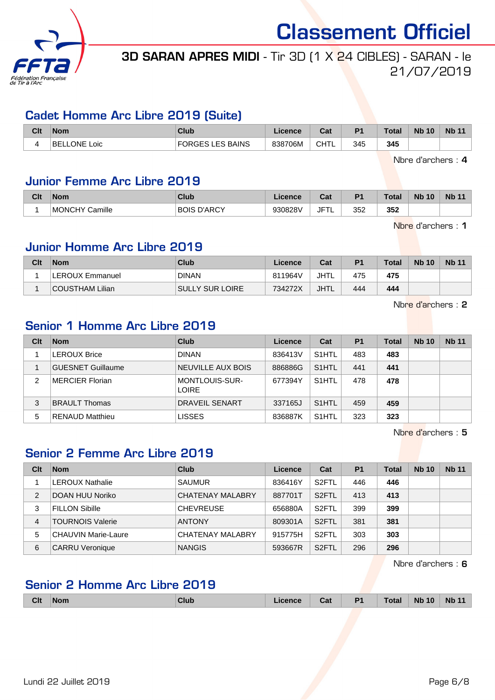

## 3D SARAN APRES MIDI - Tir 3D (1 X 24 CIBLES) - SARAN - le 21/07/2019

#### Cadet Homme Arc Libre 2019 (Suite)

| Clt | <b>Nom</b>                | Club      | Licence | <b>Dol</b><br>ual | P <sub>1</sub> | Гotal | <b>N<sub>b</sub></b><br>10 <sup>°</sup> | <b>N<sub>b</sub></b> |
|-----|---------------------------|-----------|---------|-------------------|----------------|-------|-----------------------------------------|----------------------|
|     | <b>BE</b><br>ONF<br>_oic. | LES BAINS | 838706M | <b>CHT</b>        | 345            | 345   |                                         |                      |

Nbre d'archers : 4

#### Junior Femme Arc Libre 2019

| Clt | <b>Nom</b>               | Club                  | <b>Cence</b> | $R_{\rm{eff}}$<br>ua | D <sub>4</sub> | <b>Total</b> | <b>N<sub>b</sub></b><br>10 | <b>Nb 11</b> |
|-----|--------------------------|-----------------------|--------------|----------------------|----------------|--------------|----------------------------|--------------|
|     | Camille<br><b>MONCHY</b> | D'ARCY<br><b>BOIS</b> | 9308281      | JF <sup>+</sup><br>- | 352            | 352          |                            |              |

Nbre d'archers : 1

#### Junior Homme Arc Libre 2019

| Clt | <b>Nom</b>      | Club                   | Licence | Cat         | P <sub>1</sub> | <b>Total</b> | <b>Nb 10</b> | <b>Nb 11</b> |
|-----|-----------------|------------------------|---------|-------------|----------------|--------------|--------------|--------------|
|     | LEROUX Emmanuel | <b>DINAN</b>           | 811964V | JHTL        | 475            | 475          |              |              |
|     | COUSTHAM Lilian | <b>SULLY SUR LOIRE</b> | 734272X | <b>JHTL</b> | 444            | 444          |              |              |

Nbre d'archers : 2

### Senior 1 Homme Arc Libre 2019

| Clt | <b>Nom</b>               | Club                           | Licence | Cat                | <b>P1</b> | Total | <b>Nb 10</b> | <b>Nb 11</b> |
|-----|--------------------------|--------------------------------|---------|--------------------|-----------|-------|--------------|--------------|
|     | <b>LEROUX Brice</b>      | <b>DINAN</b>                   | 836413V | S <sub>1</sub> HTL | 483       | 483   |              |              |
|     | <b>GUESNET Guillaume</b> | NEUVILLE AUX BOIS              | 886886G | S <sub>1</sub> HTL | 441       | 441   |              |              |
| 2   | <b>MERCIER Florian</b>   | MONTLOUIS-SUR-<br><b>LOIRE</b> | 677394Y | S <sub>1</sub> HTL | 478       | 478   |              |              |
| 3   | <b>BRAULT Thomas</b>     | <b>DRAVEIL SENART</b>          | 337165J | S <sub>1</sub> HTL | 459       | 459   |              |              |
| 5   | <b>RENAUD Matthieu</b>   | LISSES                         | 836887K | S <sub>1</sub> HTL | 323       | 323   |              |              |

Nbre d'archers : 5

## Senior 2 Femme Arc Libre 2019

| Clt            | <b>Nom</b>                 | Club                    | Licence | Cat                | P <sub>1</sub> | Total | <b>Nb 10</b> | <b>Nb 11</b> |
|----------------|----------------------------|-------------------------|---------|--------------------|----------------|-------|--------------|--------------|
|                | <b>LEROUX Nathalie</b>     | <b>SAUMUR</b>           | 836416Y | S <sub>2</sub> FTL | 446            | 446   |              |              |
| $\overline{2}$ | DOAN HUU Noriko            | <b>CHATENAY MALABRY</b> | 887701T | S <sub>2</sub> FTL | 413            | 413   |              |              |
| 3              | <b>FILLON Sibille</b>      | <b>CHEVREUSE</b>        | 656880A | S <sub>2</sub> FTL | 399            | 399   |              |              |
| 4              | <b>TOURNOIS Valerie</b>    | <b>ANTONY</b>           | 809301A | S <sub>2</sub> FTL | 381            | 381   |              |              |
| 5              | <b>CHAUVIN Marie-Laure</b> | <b>CHATENAY MALABRY</b> | 915775H | S <sub>2</sub> FTL | 303            | 303   |              |              |
| 6              | <b>CARRU Veronique</b>     | <b>NANGIS</b>           | 593667R | S <sub>2</sub> FTL | 296            | 296   |              |              |

Nbre d'archers : 6

## Senior 2 Homme Arc Libre 2019

| <b>Clt</b> | <b>Nom</b> | <b>Club</b> | icence | Cat | P <sub>1</sub><br>. . | <b>Total</b> | 10<br><b>N<sub>b</sub></b> | <b>N<sub>b</sub></b><br>AA |
|------------|------------|-------------|--------|-----|-----------------------|--------------|----------------------------|----------------------------|
|            |            |             |        |     |                       |              |                            |                            |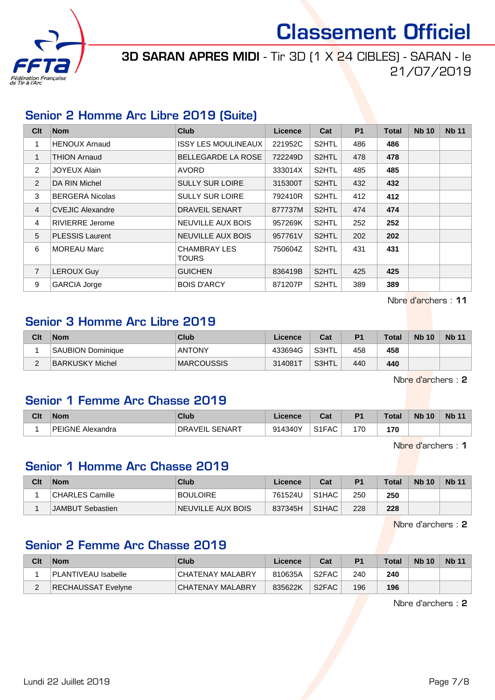

3D SARAN APRES MIDI - Tir 3D (1 X 24 CIBLES) - SARAN - le 21/07/2019

#### Senior 2 Homme Arc Libre 2019 (Suite)

| Clt            | <b>Nom</b>              | <b>Club</b>                         | Licence | Cat                | <b>P1</b> | <b>Total</b> | <b>Nb 10</b> | <b>Nb 11</b> |
|----------------|-------------------------|-------------------------------------|---------|--------------------|-----------|--------------|--------------|--------------|
| 1              | <b>HENOUX Arnaud</b>    | <b>ISSY LES MOULINEAUX</b>          | 221952C | S <sub>2</sub> HTL | 486       | 486          |              |              |
| 1              | <b>THION Arnaud</b>     | <b>BELLEGARDE LA ROSE</b>           | 722249D | S <sub>2</sub> HTL | 478       | 478          |              |              |
| 2              | JOYEUX Alain            | <b>AVORD</b>                        | 333014X | S <sub>2</sub> HTL | 485       | 485          |              |              |
| 2              | DA RIN Michel           | <b>SULLY SUR LOIRE</b>              | 315300T | S <sub>2</sub> HTL | 432       | 432          |              |              |
| 3              | <b>BERGERA Nicolas</b>  | <b>SULLY SUR LOIRE</b>              | 792410R | S <sub>2</sub> HTL | 412       | 412          |              |              |
| $\overline{4}$ | <b>CVEJIC Alexandre</b> | <b>DRAVEIL SENART</b>               | 877737M | S <sub>2</sub> HTL | 474       | 474          |              |              |
| 4              | <b>RIVIERRE</b> Jerome  | NEUVILLE AUX BOIS                   | 957269K | S <sub>2</sub> HTL | 252       | 252          |              |              |
| 5              | <b>PLESSIS Laurent</b>  | NEUVILLE AUX BOIS                   | 957761V | S <sub>2</sub> HTL | 202       | 202          |              |              |
| 6              | <b>MOREAU Marc</b>      | <b>CHAMBRAY LES</b><br><b>TOURS</b> | 750604Z | S <sub>2</sub> HTL | 431       | 431          |              |              |
| $\overline{7}$ | <b>LEROUX Guy</b>       | <b>GUICHEN</b>                      | 836419B | S <sub>2</sub> HTL | 425       | 425          |              |              |
| 9              | <b>GARCIA Jorge</b>     | <b>BOIS D'ARCY</b>                  | 871207P | S2HTL              | 389       | 389          |              |              |

Nbre d'archers : 11

#### Senior 3 Homme Arc Libre 2019

| Clt | <b>Nom</b>        | Club              | Licence | Cat      | P <sub>1</sub> | <b>Total</b> | <b>Nb 10</b> | <b>Nb 11</b> |
|-----|-------------------|-------------------|---------|----------|----------------|--------------|--------------|--------------|
|     | SAUBION Dominique | <b>ANTONY</b>     | 433694G | S3HTL    | 458            | 458          |              |              |
| -   | BARKUSKY Michel   | <b>MARCOUSSIS</b> | 314081T | ` S3HTL. | 440            | 440          |              |              |

Nbre d'archers : 2

#### Senior 1 Femme Arc Chasse 2019

| Clt | <b>Nom</b>              | Club                 | cence           | $R_{\rm{eff}}$<br>ua | D <sub>1</sub> | <b>Total</b> | <b>N<sub>b</sub></b><br>10 | <b>Nb 11</b> |
|-----|-------------------------|----------------------|-----------------|----------------------|----------------|--------------|----------------------------|--------------|
|     | PEIGNE<br>.√E Alexandra | SENART<br>DRA<br>/EⅡ | 011310V<br>34O. | S1FAC                | 170            | 170<br>__    |                            |              |

Nbre d'archers : 1

#### Senior 1 Homme Arc Chasse 2019

| Clt | <b>Nom</b>       | Club              | Licence | Cat                            | P <sub>1</sub> | <b>Total</b> | <b>Nb 10</b> | <b>Nb 11</b> |
|-----|------------------|-------------------|---------|--------------------------------|----------------|--------------|--------------|--------------|
|     | CHARLES Camille_ | <b>BOULOIRE</b>   | 761524U | S <sub>1</sub> HAC             | 250            | 250          |              |              |
|     | JAMBUT Sebastien | NEUVILLE AUX BOIS | 837345H | S <sub>1</sub> H <sub>AC</sub> | 228            | 228          |              |              |

Nbre d'archers : 2

### Senior 2 Femme Arc Chasse 2019

| Clt | <b>Nom</b>                 | Club             | Licence | Cat                | P <sub>1</sub> | Total | <b>Nb 10</b> | <b>Nb 11</b> |
|-----|----------------------------|------------------|---------|--------------------|----------------|-------|--------------|--------------|
|     | <b>PLANTIVEAU Isabelle</b> | CHATENAY MALABRY | 810635A | S2FAC              | 240            | 240   |              |              |
|     | RECHAUSSAT Evelyne         | CHATENAY MALABRY | 835622K | S <sub>2</sub> FAC | 196            | 196   |              |              |

Nbre d'archers : 2